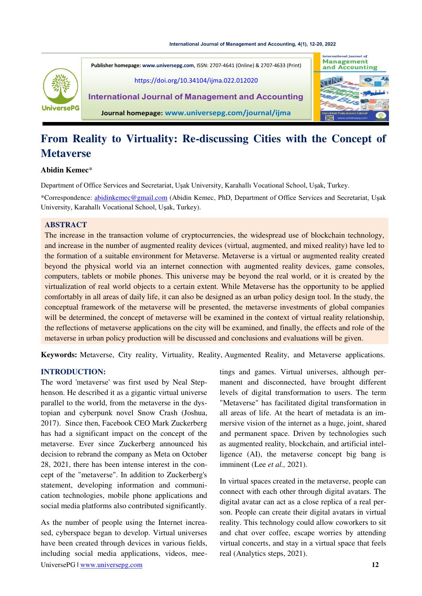

**International lournal of Management Publisher homepage[: www.universepg.com](http://www.universepg.com/)**, ISSN: 2707-4641 (Online) & 2707-4633 (Print) and Accounting <https://doi.org/10.34104/ijma.022.012020> **International Journal of Management and Accounting Journal homepage: [www.universepg.com/journal/ijma](http://www.universepg.com/journal/ijma)**

# **From Reality to Virtuality: Re-discussing Cities with the Concept of Metaverse**

## **Abidin Kemec**\*

Department of Office Services and Secretariat, Uşak University, Karahallı Vocational School, Uşak, Turkey.

\*Correspondence: [abidinkemec@gmail.com](mailto:abidinkemec@gmail.com) (Abidin Kemec, PhD, Department of Office Services and Secretariat, Uşak University, Karahallı Vocational School, Uşak, Turkey).

# **ABSTRACT**

The increase in the transaction volume of cryptocurrencies, the widespread use of blockchain technology, and increase in the number of augmented reality devices (virtual, augmented, and mixed reality) have led to the formation of a suitable environment for Metaverse. Metaverse is a virtual or augmented reality created beyond the physical world via an internet connection with augmented reality devices, game consoles, computers, tablets or mobile phones. This universe may be beyond the real world, or it is created by the virtualization of real world objects to a certain extent. While Metaverse has the opportunity to be applied comfortably in all areas of daily life, it can also be designed as an urban policy design tool. In the study, the conceptual framework of the metaverse will be presented, the metaverse investments of global companies will be determined, the concept of metaverse will be examined in the context of virtual reality relationship, the reflections of metaverse applications on the city will be examined, and finally, the effects and role of the metaverse in urban policy production will be discussed and conclusions and evaluations will be given.

**Keywords:** Metaverse, City reality, Virtuality, Reality, Augmented Reality, and Metaverse applications.

# **INTRODUCTION:**

The word 'metaverse' was first used by Neal Stephenson. He described it as a gigantic virtual universe parallel to the world, from the metaverse in the dystopian and cyberpunk novel Snow Crash (Joshua, 2017). Since then, Facebook CEO Mark Zuckerberg has had a significant impact on the concept of the metaverse. Ever since Zuckerberg announced his decision to rebrand the company as Meta on October 28, 2021, there has been intense interest in the concept of the "metaverse". In addition to Zuckerberg's statement, developing information and communication technologies, mobile phone applications and social media platforms also contributed significantly.

UniversePG l [www.universepg.com](http://www.universepg.com/) **12** As the number of people using the Internet increased, cyberspace began to develop. Virtual universes have been created through devices in various fields, including social media applications, videos, mee-

tings and games. Virtual universes, although permanent and disconnected, have brought different levels of digital transformation to users. The term "Metaverse" has facilitated digital transformation in all areas of life. At the heart of metadata is an immersive vision of the internet as a huge, joint, shared and permanent space. Driven by technologies such as augmented reality, blockchain, and artificial intelligence (AI), the metaverse concept big bang is imminent (Lee *et al.,* 2021).

In virtual spaces created in the metaverse, people can connect with each other through digital avatars. The digital avatar can act as a close replica of a real person. People can create their digital avatars in virtual reality. This technology could allow coworkers to sit and chat over coffee, escape worries by attending virtual concerts, and stay in a virtual space that feels real (Analytics steps, 2021).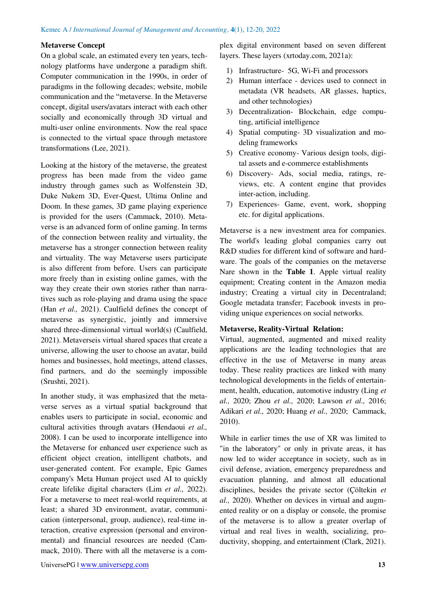## **Metaverse Concept**

On a global scale, an estimated every ten years, technology platforms have undergone a paradigm shift. Computer communication in the 1990s, in order of paradigms in the following decades; website, mobile communication and the "metaverse. In the Metaverse concept, digital users/avatars interact with each other socially and economically through 3D virtual and multi-user online environments. Now the real space is connected to the virtual space through metastore transformations (Lee, 2021).

Looking at the history of the metaverse, the greatest progress has been made from the video game industry through games such as Wolfenstein 3D, Duke Nukem 3D, Ever-Quest, Ultima Online and Doom. In these games, 3D game playing experience is provided for the users (Cammack, 2010). Metaverse is an advanced form of online gaming. In terms of the connection between reality and virtuality, the metaverse has a stronger connection between reality and virtuality. The way Metaverse users participate is also different from before. Users can participate more freely than in existing online games, with the way they create their own stories rather than narratives such as role-playing and drama using the space (Han *et al.,* 2021). Caulfield defines the concept of metaverse as synergistic, jointly and immersive shared three-dimensional virtual world(s) (Caulfield, 2021). Metaverseis virtual shared spaces that create a universe, allowing the user to choose an avatar, build homes and businesses, hold meetings, attend classes, find partners, and do the seemingly impossible (Srushti, 2021).

In another study, it was emphasized that the metaverse serves as a virtual spatial background that enables users to participate in social, economic and cultural activities through avatars (Hendaoui *et al.,*  2008). I can be used to incorporate intelligence into the Metaverse for enhanced user experience such as efficient object creation, intelligent chatbots, and user-generated content. For example, Epic Games company's Meta Human project used AI to quickly create lifelike digital characters (Lim *et al.,* 2022). For a metaverse to meet real-world requirements, at least; a shared 3D environment, avatar, communication (interpersonal, group, audience), real-time interaction, creative expression (personal and environmental) and financial resources are needed (Cammack, 2010). There with all the metaverse is a complex digital environment based on seven different layers. These layers (xrtoday.com, 2021a):

- 1) Infrastructure- 5G, Wi-Fi and processors
- 2) Human interface devices used to connect in metadata (VR headsets, AR glasses, haptics, and other technologies)
- 3) Decentralization- Blockchain, edge computing, artificial intelligence
- 4) Spatial computing- 3D visualization and modeling frameworks
- 5) Creative economy- Various design tools, digital assets and e-commerce establishments
- 6) Discovery- Ads, social media, ratings, reviews, etc. A content engine that provides inter-action, including.
- 7) Experiences- Game, event, work, shopping etc. for digital applications.

Metaverse is a new investment area for companies. The world's leading global companies carry out R&D studies for different kind of software and hardware. The goals of the companies on the metaverse Nare shown in the **Table 1**. Apple virtual reality equipment; Creating content in the Amazon media industry; Creating a virtual city in Decentraland; Google metadata transfer; Facebook invests in providing unique experiences on social networks.

## **Metaverse, Reality-Virtual Relation:**

Virtual, augmented, augmented and mixed reality applications are the leading technologies that are effective in the use of Metaverse in many areas today. These reality practices are linked with many technological developments in the fields of entertainment, health, education, automotive industry (Ling *et al.,* 2020; Zhou *et al.,* 2020; Lawson *et al.,* 2016; Adikari *et al.,* 2020; Huang *et al.,* 2020; Cammack, 2010).

While in earlier times the use of XR was limited to "in the laboratory" or only in private areas, it has now led to wider acceptance in society, such as in civil defense, aviation, emergency preparedness and evacuation planning, and almost all educational disciplines, besides the private sector (Çöltekin *et al.,* 2020). Whether on devices in virtual and augmented reality or on a display or console, the promise of the metaverse is to allow a greater overlap of virtual and real lives in wealth, socializing, productivity, shopping, and entertainment (Clark, 2021).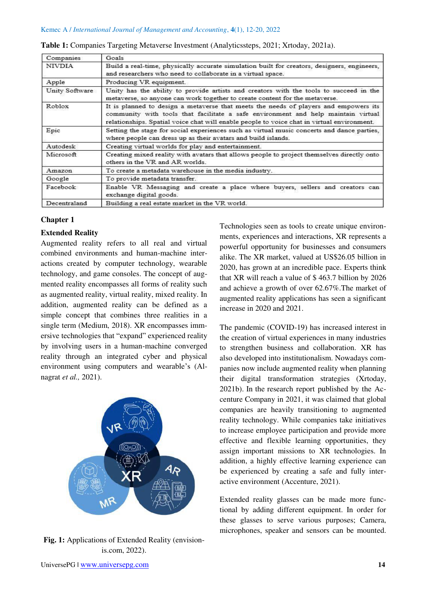| Companies      | Goals                                                                                                                                                                                                                                                                   |  |  |  |
|----------------|-------------------------------------------------------------------------------------------------------------------------------------------------------------------------------------------------------------------------------------------------------------------------|--|--|--|
| NIVDIA         | Build a real-time, physically accurate simulation built for creators, designers, engineers,<br>and researchers who need to collaborate in a virtual space.                                                                                                              |  |  |  |
| Apple          | Producing VR equipment.                                                                                                                                                                                                                                                 |  |  |  |
| Unity Software | Unity has the ability to provide artists and creators with the tools to succeed in the<br>metaverse, so anyone can work together to create content for the metaverse.                                                                                                   |  |  |  |
| Roblox         | It is planned to design a metaverse that meets the needs of players and empowers its<br>community with tools that facilitate a safe environment and help maintain virtual<br>relationships. Spatial voice chat will enable people to voice chat in virtual environment. |  |  |  |
| Epic           | Setting the stage for social experiences such as virtual music concerts and dance parties,<br>where people can dress up as their avatars and build islands.                                                                                                             |  |  |  |
| Autodesk       | Creating virtual worlds for play and entertainment.                                                                                                                                                                                                                     |  |  |  |
| Microsoft      | Creating mixed reality with avatars that allows people to project themselves directly onto<br>others in the VR and AR worlds.                                                                                                                                           |  |  |  |
| Amazon         | To create a metadata warehouse in the media industry.                                                                                                                                                                                                                   |  |  |  |
| Google         | To provide metadata transfer.                                                                                                                                                                                                                                           |  |  |  |
| Facebook       | Enable VR Messaging and create a place where buyers, sellers and creators can<br>exchange digital goods.                                                                                                                                                                |  |  |  |
| Decentraland   | Building a real estate market in the VR world.                                                                                                                                                                                                                          |  |  |  |

|  |  |  |  |  |  | Table 1: Companies Targeting Metaverse Investment (Analyticssteps, 2021; Xrtoday, 2021a). |
|--|--|--|--|--|--|-------------------------------------------------------------------------------------------|
|--|--|--|--|--|--|-------------------------------------------------------------------------------------------|

# **Chapter 1**

# **Extended Reality**

Augmented reality refers to all real and virtual combined environments and human-machine interactions created by computer technology, wearable technology, and game consoles. The concept of augmented reality encompasses all forms of reality such as augmented reality, virtual reality, mixed reality. In addition, augmented reality can be defined as a simple concept that combines three realities in a single term (Medium, 2018). XR encompasses immersive technologies that "expand" experienced reality by involving users in a human-machine converged reality through an integrated cyber and physical environment using computers and wearable's (Alnagrat *et al.,* 2021).



**Fig. 1:** Applications of Extended Reality (envisionis.com, 2022).

Technologies seen as tools to create unique environments, experiences and interactions, XR represents a powerful opportunity for businesses and consumers alike. The XR market, valued at US\$26.05 billion in 2020, has grown at an incredible pace. Experts think that XR will reach a value of \$ 463.7 billion by 2026 and achieve a growth of over 62.67%.The market of augmented reality applications has seen a significant increase in 2020 and 2021.

The pandemic (COVID-19) has increased interest in the creation of virtual experiences in many industries to strengthen business and collaboration. XR has also developed into institutionalism. Nowadays companies now include augmented reality when planning their digital transformation strategies (Xrtoday, 2021b). In the research report published by the Accenture Company in 2021, it was claimed that global companies are heavily transitioning to augmented reality technology. While companies take initiatives to increase employee participation and provide more effective and flexible learning opportunities, they assign important missions to XR technologies. In addition, a highly effective learning experience can be experienced by creating a safe and fully interactive environment (Accenture, 2021).

Extended reality glasses can be made more functional by adding different equipment. In order for these glasses to serve various purposes; Camera, microphones, speaker and sensors can be mounted.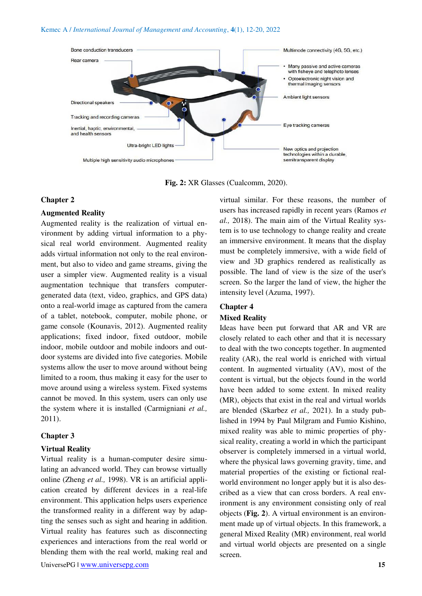

**Fig. 2:** XR Glasses (Cualcomm, 2020).

#### **Chapter 2**

# **Augmented Reality**

Augmented reality is the realization of virtual environment by adding virtual information to a physical real world environment. Augmented reality adds virtual information not only to the real environment, but also to video and game streams, giving the user a simpler view. Augmented reality is a visual augmentation technique that transfers computergenerated data (text, video, graphics, and GPS data) onto a real-world image as captured from the camera of a tablet, notebook, computer, mobile phone, or game console (Kounavis, 2012). Augmented reality applications; fixed indoor, fixed outdoor, mobile indoor, mobile outdoor and mobile indoors and outdoor systems are divided into five categories. Mobile systems allow the user to move around without being limited to a room, thus making it easy for the user to move around using a wireless system. Fixed systems cannot be moved. In this system, users can only use the system where it is installed (Carmigniani *et al.,*  2011).

## **Chapter 3**

#### **Virtual Reality**

Virtual reality is a human-computer desire simulating an advanced world. They can browse virtually online (Zheng *et al.,* 1998). VR is an artificial application created by different devices in a real-life environment. This application helps users experience the transformed reality in a different way by adapting the senses such as sight and hearing in addition. Virtual reality has features such as disconnecting experiences and interactions from the real world or blending them with the real world, making real and virtual similar. For these reasons, the number of users has increased rapidly in recent years (Ramos *et al.,* 2018). The main aim of the Virtual Reality system is to use technology to change reality and create an immersive environment. It means that the display must be completely immersive, with a wide field of view and 3D graphics rendered as realistically as possible. The land of view is the size of the user's screen. So the larger the land of view, the higher the intensity level (Azuma, 1997).

## **Chapter 4**

#### **Mixed Reality**

Ideas have been put forward that AR and VR are closely related to each other and that it is necessary to deal with the two concepts together. In augmented reality (AR), the real world is enriched with virtual content. In augmented virtuality (AV), most of the content is virtual, but the objects found in the world have been added to some extent. In mixed reality (MR), objects that exist in the real and virtual worlds are blended (Skarbez *et al.,* 2021). In a study published in 1994 by Paul Milgram and Fumio Kishino, mixed reality was able to mimic properties of physical reality, creating a world in which the participant observer is completely immersed in a virtual world, where the physical laws governing gravity, time, and material properties of the existing or fictional realworld environment no longer apply but it is also described as a view that can cross borders. A real environment is any environment consisting only of real objects (**Fig. 2**). A virtual environment is an environment made up of virtual objects. In this framework, a general Mixed Reality (MR) environment, real world and virtual world objects are presented on a single screen.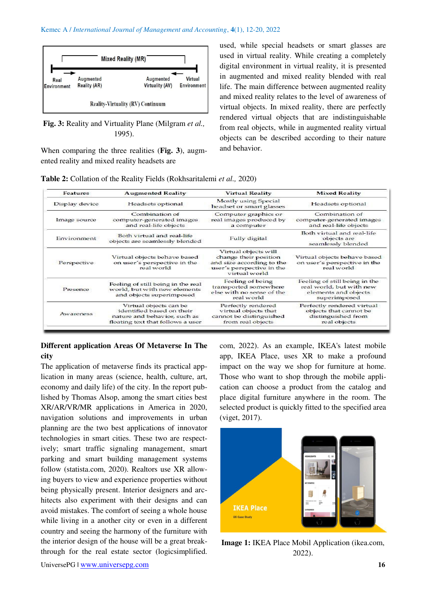

**Fig. 3:** Reality and Virtuality Plane (Milgram *et al.,* 1995).

When comparing the three realities (**Fig. 3**), augmented reality and mixed reality headsets are

used, while special headsets or smart glasses are used in virtual reality. While creating a completely digital environment in virtual reality, it is presented in augmented and mixed reality blended with real life. The main difference between augmented reality and mixed reality relates to the level of awareness of virtual objects. In mixed reality, there are perfectly rendered virtual objects that are indistinguishable from real objects, while in augmented reality virtual objects can be described according to their nature and behavior.

| Table 2: Collation of the Reality Fields (Rokhsaritalemi et al., 2020) |  |  |
|------------------------------------------------------------------------|--|--|
|------------------------------------------------------------------------|--|--|

| <b>Features</b>                                                                                            | <b>Augmented Reality</b>                                                                                                 | <b>Virtual Reality</b>                                                                                                   | <b>Mixed Reality</b>                                                                              |  |
|------------------------------------------------------------------------------------------------------------|--------------------------------------------------------------------------------------------------------------------------|--------------------------------------------------------------------------------------------------------------------------|---------------------------------------------------------------------------------------------------|--|
| Display device                                                                                             | Headsets optional                                                                                                        | Mostly using Special<br>headset or smart glasses                                                                         | Headsets optional                                                                                 |  |
| Image source                                                                                               | Combination of<br>computer-generated images<br>and real-life objects                                                     | Computer graphics or<br>real images produced by<br>a computer                                                            | Combination of<br>computer-generated images<br>and real-life objects                              |  |
| Environment                                                                                                | Both virtual and real-life<br>objects are seamlessly blended                                                             | <b>Fully digital</b>                                                                                                     | Both virtual and real-life<br>objects are<br>seamlessly blended                                   |  |
| Perspective                                                                                                | Virtual objects behave based<br>on user's perspective in the<br>real world                                               | Virtual objects will<br>change their position<br>and size according to the<br>user's perspective in the<br>virtual world | Virtual objects behave based<br>on user's perspective in the<br>real world                        |  |
| Feeling of still being in the real<br>world, but with new elements<br>Presence<br>and objects superimposed |                                                                                                                          | Feeling of being<br>transported somewhere<br>else with no sense of the<br>real world                                     | Feeling of still being in the<br>real world, but with new<br>elements and objects<br>superimposed |  |
| Awareness                                                                                                  | Virtual objects can be<br>identified based on their<br>nature and behavior, such as<br>floating text that follows a user | Perfectly rendered<br>virtual objects that<br>cannot be distinguished<br>from real objects                               | Perfectly rendered virtual<br>objects that cannot be<br>distinguished from<br>real objects        |  |

# **Different application Areas Of Metaverse In The city**

The application of metaverse finds its practical application in many areas (science, health, culture, art, economy and daily life) of the city. In the report published by Thomas Alsop, among the smart cities best XR/AR/VR/MR applications in America in 2020, navigation solutions and improvements in urban planning are the two best applications of innovator technologies in smart cities. These two are respectively; smart traffic signaling management, smart parking and smart building management systems follow (statista.com, 2020). Realtors use XR allowing buyers to view and experience properties without being physically present. Interior designers and architects also experiment with their designs and can avoid mistakes. The comfort of seeing a whole house while living in a another city or even in a different country and seeing the harmony of the furniture with the interior design of the house will be a great breakthrough for the real estate sector (logicsimplified. com, 2022). As an example, IKEA's latest mobile app, IKEA Place, uses XR to make a profound impact on the way we shop for furniture at home. Those who want to shop through the mobile application can choose a product from the catalog and place digital furniture anywhere in the room. The selected product is quickly fitted to the specified area (viget, 2017).



**Image 1:** IKEA Place Mobil Application (ikea.com, 2022).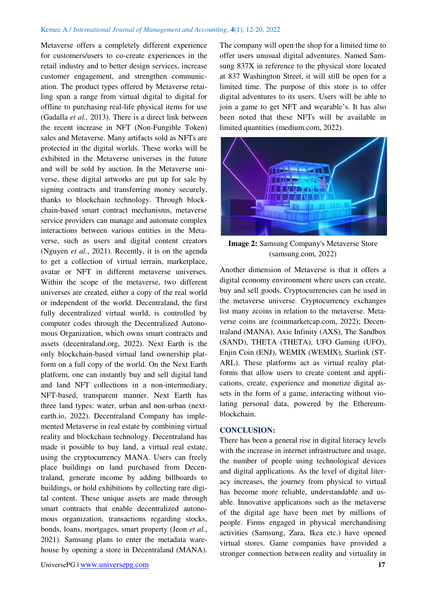Metaverse offers a completely different experience for customers/users to co-create experiences in the retail industry and to better design services, increase customer engagement, and strengthen communication. The product types offered by Metaverse retailing span a range from virtual digital to digital for offline to purchasing real-life physical items for use (Gadalla *et al.,* 2013). There is a direct link between the recent increase in NFT (Non-Fungible Token) sales and Metaverse. Many artifacts sold as NFTs are protected in the digital worlds. These works will be exhibited in the Metaverse universes in the future and will be sold by auction. In the Metaverse universe, these digital artworks are put up for sale by signing contracts and transferring money securely, thanks to blockchain technology. Through blockchain-based smart contract mechanisms, metaverse service providers can manage and automate complex interactions between various entities in the Metaverse, such as users and digital content creators (Nguyen *et al*., 2021). Recently, it is on the agenda to get a collection of virtual terrain, marketplace, avatar or NFT in different metaverse universes. Within the scope of the metaverse, two different universes are created, either a copy of the real world or independent of the world. Decentraland, the first fully decentralized virtual world, is controlled by computer codes through the Decentralized Autonomous Organization, which owns smart contracts and assets (decentraland.org, 2022). Next Earth is the only blockchain-based virtual land ownership platform on a full copy of the world. On the Next Earth platform, one can instantly buy and sell digital land and land NFT collections in a non-intermediary, NFT-based, transparent manner. Next Earth has three land types: water, urban and non-urban (nextearth.io, 2022). Decentraland Company has implemented Metaverse in real estate by combining virtual reality and blockchain technology. Decentraland has made it possible to buy land, a virtual real estate, using the cryptocurrency MANA. Users can freely place buildings on land purchased from Decentraland, generate income by adding billboards to buildings, or hold exhibitions by collecting rare digital content. These unique assets are made through smart contracts that enable decentralized autonomous organization, transactions regarding stocks, bonds, loans, mortgages, smart property (Jeon *et al*., 2021). Samsung plans to enter the metadata warehouse by opening a store in Decentraland (MANA). The company will open the shop for a limited time to offer users unusual digital adventures. Named Samsung 837X in reference to the physical store located at 837 Washington Street, it will still be open for a limited time. The purpose of this store is to offer digital adventures to its users. Users will be able to join a game to get NFT and wearable's. It has also been noted that these NFTs will be available in limited quantities (medium.com, 2022).



**Image 2:** Samsung Company's Metaverse Store (samsung.com, 2022)

Another dimension of Metaverse is that it offers a digital economy environment where users can create, buy and sell goods. Cryptocurrencies can be used in the metaverse universe. Cryptocurrency exchanges list many zcoins in relation to the metaverse. Metaverse coins are (coinmarketcap.com, 2022); Decentraland (MANA), Axie Infinity (AXS), The Sandbox (SAND), THETA (THETA), UFO Gaming (UFO), Enjin Coin (ENJ), WEMIX (WEMIX), Starlink (ST-ARL). These platforms act as virtual reality platforms that allow users to create content and applications, create, experience and monetize digital assets in the form of a game, interacting without violating personal data, powered by the Ethereumblockchain.

## **CONCLUSION:**

There has been a general rise in digital literacy levels with the increase in internet infrastructure and usage, the number of people using technological devices and digital applications. As the level of digital literacy increases, the journey from physical to virtual has become more reliable, understandable and usable. Innovative applications such as the metaverse of the digital age have been met by millions of people. Firms engaged in physical merchandising activities (Samsung, Zara, Ikea etc.) have opened virtual stores. Game companies have provided a stronger connection between reality and virtuality in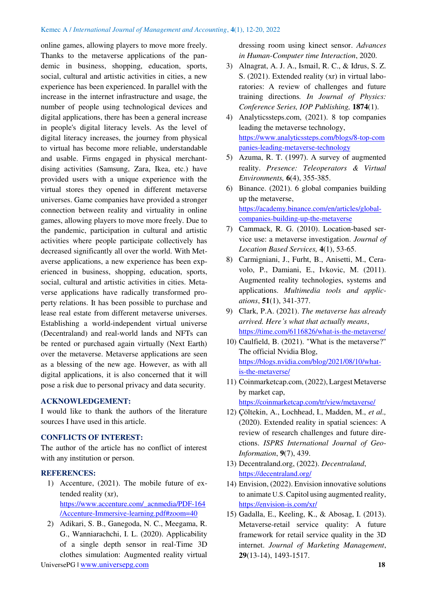online games, allowing players to move more freely. Thanks to the metaverse applications of the pandemic in business, shopping, education, sports, social, cultural and artistic activities in cities, a new experience has been experienced. In parallel with the increase in the internet infrastructure and usage, the number of people using technological devices and digital applications, there has been a general increase in people's digital literacy levels. As the level of digital literacy increases, the journey from physical to virtual has become more reliable, understandable and usable. Firms engaged in physical merchantdising activities (Samsung, Zara, Ikea, etc.) have provided users with a unique experience with the virtual stores they opened in different metaverse universes. Game companies have provided a stronger connection between reality and virtuality in online games, allowing players to move more freely. Due to the pandemic, participation in cultural and artistic activities where people participate collectively has decreased significantly all over the world. With Metaverse applications, a new experience has been experienced in business, shopping, education, sports, social, cultural and artistic activities in cities. Metaverse applications have radically transformed property relations. It has been possible to purchase and lease real estate from different metaverse universes. Establishing a world-independent virtual universe (Decentraland) and real-world lands and NFTs can be rented or purchased again virtually (Next Earth) over the metaverse. Metaverse applications are seen as a blessing of the new age. However, as with all digital applications, it is also concerned that it will pose a risk due to personal privacy and data security.

# **ACKNOWLEDGEMENT:**

I would like to thank the authors of the literature sources I have used in this article.

# **CONFLICTS OF INTEREST:**

The author of the article has no conflict of interest with any institution or person.

## **REFERENCES:**

- 1) Accenture, (2021). The mobile future of extended reality (xr), [https://www.accenture.com/\\_acnmedia/PDF-164](https://www.accenture.com/_acnmedia/PDF-164%20/Accenture-Immersive-learning.pdf#zoom=40)  [/Accenture-Immersive-learning.pdf#zoom=40](https://www.accenture.com/_acnmedia/PDF-164%20/Accenture-Immersive-learning.pdf#zoom=40)
- UniversePG I [www.universepg.com](http://www.universepg.com/) **18** 2) Adikari, S. B., Ganegoda, N. C., Meegama, R. G., Wanniarachchi, I. L. (2020). Applicability of a single depth sensor in real-Time 3D clothes simulation: Augmented reality virtual

dressing room using kinect sensor. *Advances in Human-Computer time Interaction*, 2020.

- 3) Alnagrat, A. J. A., Ismail, R. C., & Idrus, S. Z. S. (2021). Extended reality (xr) in virtual laboratories: A review of challenges and future training directions*. In Journal of Physics: Conference Series, IOP Publishing,* **1874**(1).
- 4) Analyticssteps.com, (2021). 8 top companies leading the metaverse technology, [https://www.analyticssteps.com/blogs/8-top-com](https://www.analyticssteps.com/blogs/8-top-com%20panies-leading-metaverse-technology)  [panies-leading-metaverse-technology](https://www.analyticssteps.com/blogs/8-top-com%20panies-leading-metaverse-technology)
- 5) Azuma, R. T. (1997). A survey of augmented reality. *Presence: Teleoperators & Virtual Environments,* **6**(4), 355-385.
- 6) Binance. (2021). 6 global companies building up the metaverse, [https://academy.binance.com/en/articles/global](https://academy.binance.com/en/articles/global-companies-building-up-the-metaverse)[companies-building-up-the-metaverse](https://academy.binance.com/en/articles/global-companies-building-up-the-metaverse)
- 7) Cammack, R. G. (2010). Location-based service use: a metaverse investigation. *Journal of Location Based Services,* **4**(1), 53-65.
- 8) Carmigniani, J., Furht, B., Anisetti, M., Ceravolo, P., Damiani, E., Ivkovic, M. (2011). Augmented reality technologies, systems and applications. *Multimedia tools and applications*, **51**(1), 341-377.
- 9) Clark, P.A. (2021). *The metaverse has already arrived. Here's what that actually means*, <https://time.com/6116826/what-is-the-metaverse/>
- 10) Caulfield, B. (2021). "What is the metaverse?" The official Nvidia Blog, [https://blogs.nvidia.com/blog/2021/08/10/what](https://blogs.nvidia.com/blog/2021/08/10/what-is-the-metaverse/)[is-the-metaverse/](https://blogs.nvidia.com/blog/2021/08/10/what-is-the-metaverse/)
- 11) Coinmarketcap.com, (2022), Largest Metaverse by market cap, <https://coinmarketcap.com/tr/view/metaverse/>
- 12) Çöltekin, A., Lochhead, I., Madden, M., *et al.,* (2020). Extended reality in spatial sciences: A review of research challenges and future directions. *ISPRS International Journal of Geo-Information*, **9**(7), 439.
- 13) Decentraland.org, (2022). *Decentraland*, <https://decentraland.org/>
- 14) Envision, (2022). Envision innovative solutions to animate U.S.Capitol using augmented reality, <https://envision-is.com/xr/>
- 15) Gadalla, E., Keeling, K., & Abosag, I. (2013). Metaverse-retail service quality: A future framework for retail service quality in the 3D internet. *Journal of Marketing Management*, **29**(13-14), 1493-1517.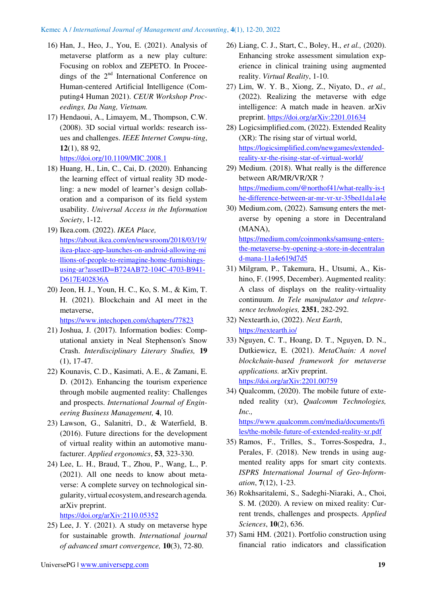- 16) Han, J., Heo, J., You, E. (2021). Analysis of metaverse platform as a new play culture: Focusing on roblox and ZEPETO. In Proceedings of the  $2<sup>nd</sup>$  International Conference on Human-centered Artificial Intelligence (Computing4 Human 2021). *CEUR Workshop Proceedings, Da Nang, Vietnam.*
- 17) Hendaoui, A., Limayem, M., Thompson, C.W. (2008). 3D social virtual worlds: research issues and challenges. *IEEE Internet Compu-ting*, **12**(1), 88 92,

<https://doi.org/10.1109/MIC.2008.1>

- 18) Huang, H., Lin, C., Cai, D. (2020). Enhancing the learning effect of virtual reality 3D modeling: a new model of learner's design collaboration and a comparison of its field system usability. *Universal Access in the Information Society*, 1-12.
- 19) Ikea.com. (2022). *IKEA Place,* [https://about.ikea.com/en/newsroom/2018/03/19/](https://about.ikea.com/en/newsroom/2018/03/19/ikea-place-app-launches-on-android-allowing-mi%20llions-of-people-to-reimagine-home-furnishings-using-ar?assetID=B724AB72-104C-4703-B941-D617E402836A) [ikea-place-app-launches-on-android-allowing-mi](https://about.ikea.com/en/newsroom/2018/03/19/ikea-place-app-launches-on-android-allowing-mi%20llions-of-people-to-reimagine-home-furnishings-using-ar?assetID=B724AB72-104C-4703-B941-D617E402836A)  [llions-of-people-to-reimagine-home-furnishings](https://about.ikea.com/en/newsroom/2018/03/19/ikea-place-app-launches-on-android-allowing-mi%20llions-of-people-to-reimagine-home-furnishings-using-ar?assetID=B724AB72-104C-4703-B941-D617E402836A)[using-ar?assetID=B724AB72-104C-4703-B941-](https://about.ikea.com/en/newsroom/2018/03/19/ikea-place-app-launches-on-android-allowing-mi%20llions-of-people-to-reimagine-home-furnishings-using-ar?assetID=B724AB72-104C-4703-B941-D617E402836A) [D617E402836A](https://about.ikea.com/en/newsroom/2018/03/19/ikea-place-app-launches-on-android-allowing-mi%20llions-of-people-to-reimagine-home-furnishings-using-ar?assetID=B724AB72-104C-4703-B941-D617E402836A)
- 20) Jeon, H. J., Youn, H. C., Ko, S. M., & Kim, T. H. (2021). Blockchain and AI meet in the metaverse, <https://www.intechopen.com/chapters/77823>

21) Joshua, J. (2017). Information bodies: Computational anxiety in Neal Stephenson's Snow Crash. *Interdisciplinary Literary Studies,* **19** (1), 17-47.

- 22) Kounavis, C.D., Kasimati, A.E., & Zamani, E. D. (2012). Enhancing the tourism experience through mobile augmented reality: Challenges and prospects. *International Journal of Engineering Business Management,* **4**, 10.
- 23) Lawson, G., Salanitri, D., & Waterfield, B. (2016). Future directions for the development of virtual reality within an automotive manufacturer. *Applied ergonomics*, **53**, 323-330.
- 24) Lee, L. H., Braud, T., Zhou, P., Wang, L., P. (2021). All one needs to know about metaverse: A complete survey on technological singularity, virtual ecosystem, and research agenda*.*  arXiv preprint.

<https://doi.org/arXiv:2110.05352>

25) Lee, J. Y. (2021). A study on metaverse hype for sustainable growth. *International journal of advanced smart convergence,* **10**(3), 72-80.

- 26) Liang, C. J., Start, C., Boley, H., *et al.,* (2020). Enhancing stroke assessment simulation experience in clinical training using augmented reality. *Virtual Reality*, 1-10.
- 27) Lim, W. Y. B., Xiong, Z., Niyato, D., *et al.,* (2022). Realizing the metaverse with edge intelligence: A match made in heaven. arXiv preprint. <https://doi.org/arXiv:2201.01634>
- 28) Logicsimplified.com, (2022). Extended Reality (XR): The rising star of virtual world, [https://logicsimplified.com/newgames/extended](https://logicsimplified.com/newgames/extended-reality-xr-the-rising-star-of-virtual-world/)[reality-xr-the-rising-star-of-virtual-world/](https://logicsimplified.com/newgames/extended-reality-xr-the-rising-star-of-virtual-world/)
- 29) Medium. (2018). What really is the difference between AR/MR/VR/XR ? [https://medium.com/@northof41/what-really-is-t](https://medium.com/@northof41/what-really-is-t%20he-difference-between-ar-mr-vr-xr-35bed1da1a4e)  he-diff[erence-between-ar-](https://medium.com/@northof41/what-really-is-t%20he-difference-between-ar-mr-vr-xr-35bed1da1a4e)mr-vr-xr-35bed1da1a4e
- 30) Medium.com, (2022). Samsung enters the metaverse by opening a store in Decentraland (MANA),

[https://medium.com/coinmonks/samsung-enters](https://medium.com/coinmonks/samsung-enters-the-metaverse-by-opening-a-store-in-decentralan%20d-mana-11a4e619d7d5)[the-metaverse-by-opening-a-store-in-decentralan](https://medium.com/coinmonks/samsung-enters-the-metaverse-by-opening-a-store-in-decentralan%20d-mana-11a4e619d7d5)  [d-mana-11a4e619d7d5](https://medium.com/coinmonks/samsung-enters-the-metaverse-by-opening-a-store-in-decentralan%20d-mana-11a4e619d7d5) 

- 31) Milgram, P., Takemura, H., Utsumi, A., Kishino, F. (1995, December). Augmented reality: A class of displays on the reality-virtuality continuum. *In Tele manipulator and telepresence technologies,* **2351**, 282-292.
- 32) Nextearth.io, (2022). *Next Earth*, <https://nextearth.io/>
- 33) Nguyen, C. T., Hoang, D. T., Nguyen, D. N., Dutkiewicz, E. (2021). *MetaChain: A novel blockchain-based framework for metaverse applications.* arXiv preprint. <https://doi.org/arXiv:2201.00759>
- 34) Qualcomm, (2020). The mobile future of extended reality (xr), *Qualcomm Technologies, Inc.,*

[https://www.qualcomm.com/media/documents/fi](https://www.qualcomm.com/media/documents/files/the-mobile-future-of-extended-reality-xr.pdf) [les/the-mobile-future-of-extended-reality-xr.pdf](https://www.qualcomm.com/media/documents/files/the-mobile-future-of-extended-reality-xr.pdf) 

- 35) Ramos, F., Trilles, S., Torres-Sospedra, J., Perales, F. (2018). New trends in using augmented reality apps for smart city contexts. *ISPRS International Journal of Geo-Information*, **7**(12), 1-23.
- 36) Rokhsaritalemi, S., Sadeghi-Niaraki, A., Choi, S. M. (2020). A review on mixed reality: Current trends, challenges and prospects. *Applied Sciences*, **10**(2), 636.
- 37) Sami HM. (2021). Portfolio construction using financial ratio indicators and classification